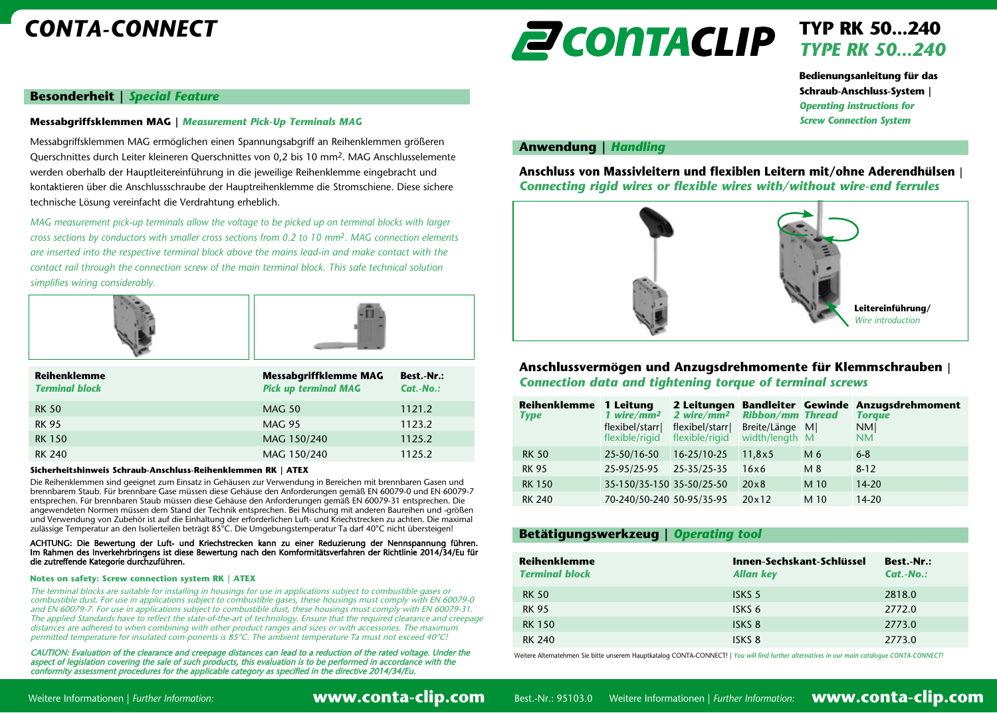# *CONTA-CONNECT*



## **TYP RK 50...240** *TYPE RK 50...240*

**Bedienungsanleitung für das Schraub-Anschluss-System |**  *Operating instructions for Screw Connection System*

## **Anwendung |** *Handling*

**Anschluss von Massivleitern und flexiblen Leitern mit/ohne Aderendhülsen |** *Connecting rigid wires or flexible wires with/without wire-end ferrules*



## **Anschlussvermögen und Anzugsdrehmomente für Klemmschrauben |** *Connection data and tightening torque of terminal screws*

| Reihenklemme<br><b>Type</b> | 1 Leitung<br>1 wire/ $mm2$<br>flexibel/starr <br>flexible/rigid | 2 Leitungen<br>2 wire/ $mm2$<br>flexibel/starrl<br>flexible/rigid | <b>Ribbon/mm Thread</b><br>Breite/Länge<br>width/length M | -MI  | <b>Bandleiter Gewinde Anzugsdrehmoment</b><br><b>Toraue</b><br>NM <br><b>NM</b> |
|-----------------------------|-----------------------------------------------------------------|-------------------------------------------------------------------|-----------------------------------------------------------|------|---------------------------------------------------------------------------------|
| <b>RK 50</b>                | 25-50/16-50                                                     | 16-25/10-25                                                       | 11,8x5                                                    | M 6  | $6 - 8$                                                                         |
| <b>RK 95</b>                | 25-95/25-95                                                     | 25-35/25-35                                                       | 16x6                                                      | M 8  | $8-12$                                                                          |
| <b>RK 150</b>               | 35-150/35-150 35-50/25-50                                       |                                                                   | $20 \times 8$                                             | M 10 | $14 - 20$                                                                       |
| <b>RK 240</b>               | 70-240/50-240 50-95/35-95                                       |                                                                   | 20×12                                                     | M 10 | $14 - 20$                                                                       |

## **Betätigungswerkzeug |** *Operating tool*

| Reihenklemme<br><b>Terminal block</b> | Innen-Sechskant-Schlüssel<br><b>Allan key</b> | Best.-Nr.:<br>$Cat.-No.$ : |
|---------------------------------------|-----------------------------------------------|----------------------------|
| <b>RK 50</b>                          | ISKS 5                                        | 2818.0                     |
| <b>RK 95</b>                          | ISKS 6                                        | 2772.0                     |
| <b>RK 150</b>                         | ISKS <sub>8</sub>                             | 2773.0                     |
| <b>RK 240</b>                         | ISKS <sub>8</sub>                             | 2773.0                     |

Weitere Alternatehmen Sie bitte unserem Hauptkatalog CONTA-CONNECT! | *You will find further alternatives in our main catalogue CONTA-CONNECT!*

**Besonderheit |** *Special Feature*

### **Messabgriffsklemmen MAG |** *Measurement Pick-Up Terminals MAG*

Messabgriffsklemmen MAG ermöglichen einen Spannungsabgriff an Reihenklemmen größeren Querschnittes durch Leiter kleineren Querschnittes von 0,2 bis 10 mm2. MAG Anschlusselemente werden oberhalb der Hauptleitereinführung in die jeweilige Reihenklemme eingebracht und kontaktieren über die Anschlussschraube der Hauptreihenklemme die Stromschiene. Diese sichere technische Lösung vereinfacht die Verdrahtung erheblich.

*MAG measurement pick-up terminals allow the voltage to be picked up on terminal blocks with larger cross sections by conductors with smaller cross sections from 0.2 to 10 mm*2*. MAG connection elements are inserted into the respective terminal block above the mains lead-in and make contact with the contact rail through the connection screw of the main terminal block. This safe technical solution simplifies wiring considerably.*





| Reihenklemme<br><b>Terminal block</b> | <b>Messabgriffklemme MAG</b><br><b>Pick up terminal MAG</b> | Best. Nr.:<br>$Cat.-No.$ : |
|---------------------------------------|-------------------------------------------------------------|----------------------------|
| <b>RK 50</b>                          | <b>MAG 50</b>                                               | 1121.2                     |
| <b>RK 95</b>                          | <b>MAG 95</b>                                               | 1123.2                     |
| <b>RK 150</b>                         | MAG 150/240                                                 | 1125.2                     |
| <b>RK 240</b>                         | MAG 150/240                                                 | 1125.2                     |

#### **Sicherheitshinweis Schraub-Anschluss-Reihenklemmen RK | ATEX**

Die Reihenklemmen sind geeignet zum Einsatz in Gehäusen zur Verwendung in Bereichen mit brennbaren Gasen und brennbarem Staub. Für brennbare Gase müssen diese Gehäuse den Anforderungen gemäß EN 60079-0 und EN 60079-7 entsprechen. Für brennbaren Staub müssen diese Gehäuse den Anforderungen gemäß EN 60079-31 entsprechen. Die angewendeten Normen müssen dem Stand der Technik entsprechen. Bei Mischung mit anderen Baureihen und -größen und Verwendung von Zubehör ist auf die Einhaltung der erforderlichen Luft- und Kriechstrecken zu achten. Die maximal zulässige Temperatur an den Isolierteilen beträgt 85°C. Die Umgebungstemperatur Ta darf 40°C nicht übersteigen!

#### ACHTUNG: Die Bewertung der Luft- und Kriechstrecken kann zu einer Reduzierung der Nennspannung führen. Im Rahmen des Inverkehrbringens ist diese Bewertung nach den Komformitätsverfahren der Richtlinie 2014/34/Eu für die zutreffende Kategorie durchzuführen.

#### **Notes on safety: Screw connection system RK | ATEX**

The terminal blocks are suitable for installing in housings for use in applications subject to combustible gases or combustible dust. For use in applications subject to combustible gases, these housings must comply with EN 60079-0 and EN 60079-7. For use in applications subject to combustible dust, these housings must comply with EN 60079-31. The applied Standards have to reflect the state-of-the-art of technology. Ensure that the required clearance and creepage distances are adhered to when combining with other product ranges and sizes or with accessories. The maximum permitted temperature for insulated com-ponents is 85°C. The ambient temperature Ta must not exceed 40°C!

CAUTION: Evaluation of the clearance and creepage distances can lead to a reduction of the rated voltage. Under the<br>aspect of legislation covering the sale of such products, this evaluation is to be performed in accordance